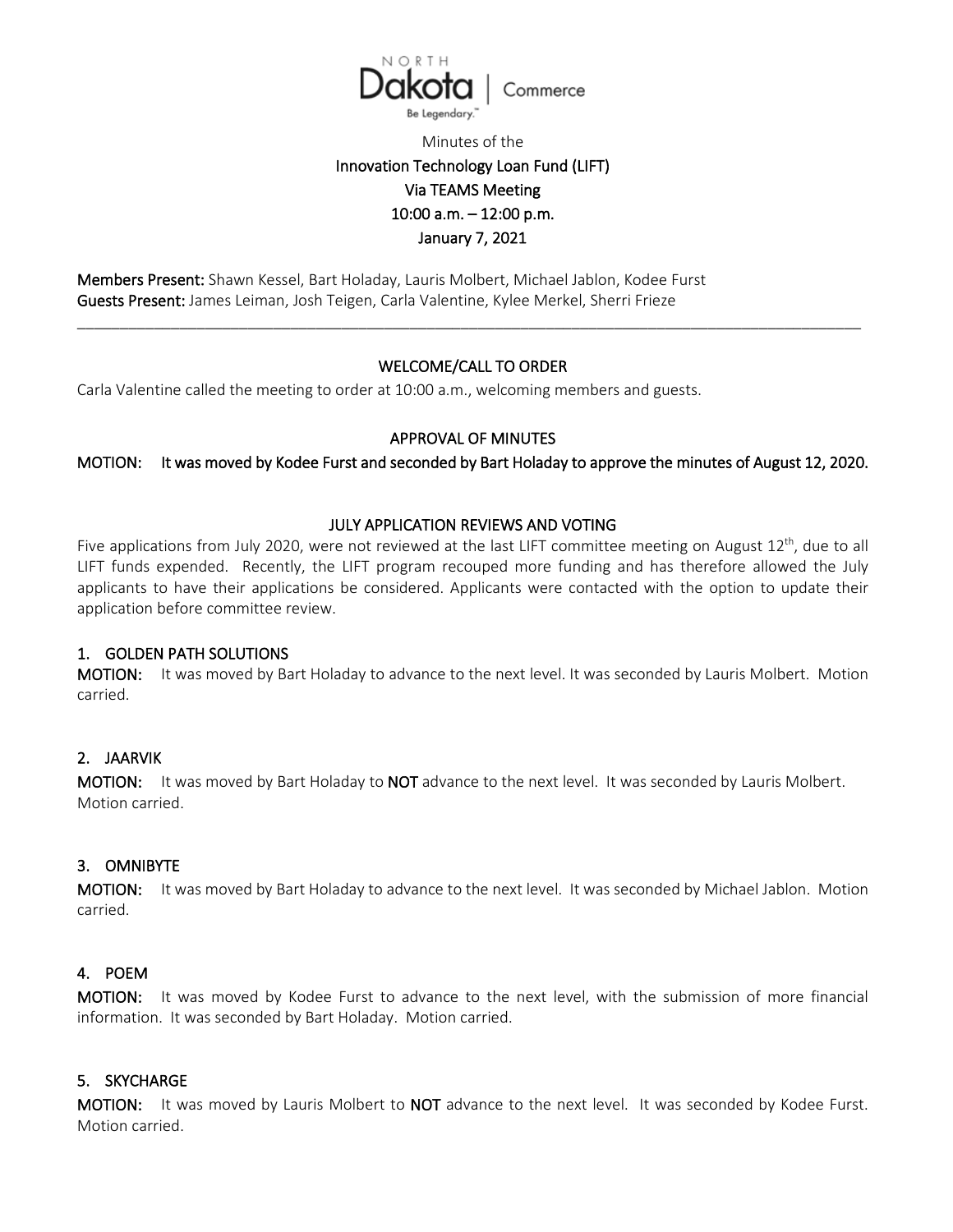

Minutes of the

# Innovation Technology Loan Fund (LIFT) Via TEAMS Meeting 10:00 a.m. – 12:00 p.m. January 7, 2021

Members Present: Shawn Kessel, Bart Holaday, Lauris Molbert, Michael Jablon, Kodee Furst Guests Present: James Leiman, Josh Teigen, Carla Valentine, Kylee Merkel, Sherri Frieze

## WELCOME/CALL TO ORDER

\_\_\_\_\_\_\_\_\_\_\_\_\_\_\_\_\_\_\_\_\_\_\_\_\_\_\_\_\_\_\_\_\_\_\_\_\_\_\_\_\_\_\_\_\_\_\_\_\_\_\_\_\_\_\_\_\_\_\_\_\_\_\_\_\_\_\_\_\_\_\_\_\_\_\_\_\_\_\_\_\_\_\_\_\_\_\_\_\_\_\_\_

Carla Valentine called the meeting to order at 10:00 a.m., welcoming members and guests.

## APPROVAL OF MINUTES

MOTION: It was moved by Kodee Furst and seconded by Bart Holaday to approve the minutes of August 12, 2020.

### JULY APPLICATION REVIEWS AND VOTING

Five applications from July 2020, were not reviewed at the last LIFT committee meeting on August  $12^{th}$ , due to all LIFT funds expended. Recently, the LIFT program recouped more funding and has therefore allowed the July applicants to have their applications be considered. Applicants were contacted with the option to update their application before committee review.

#### 1. GOLDEN PATH SOLUTIONS

MOTION: It was moved by Bart Holaday to advance to the next level. It was seconded by Lauris Molbert. Motion carried.

## 2. JAARVIK

MOTION: It was moved by Bart Holaday to NOT advance to the next level. It was seconded by Lauris Molbert. Motion carried.

#### 3. OMNIBYTE

MOTION: It was moved by Bart Holaday to advance to the next level. It was seconded by Michael Jablon. Motion carried.

#### 4. POEM

MOTION: It was moved by Kodee Furst to advance to the next level, with the submission of more financial information. It was seconded by Bart Holaday. Motion carried.

## 5. SKYCHARGE

MOTION: It was moved by Lauris Molbert to NOT advance to the next level. It was seconded by Kodee Furst. Motion carried.